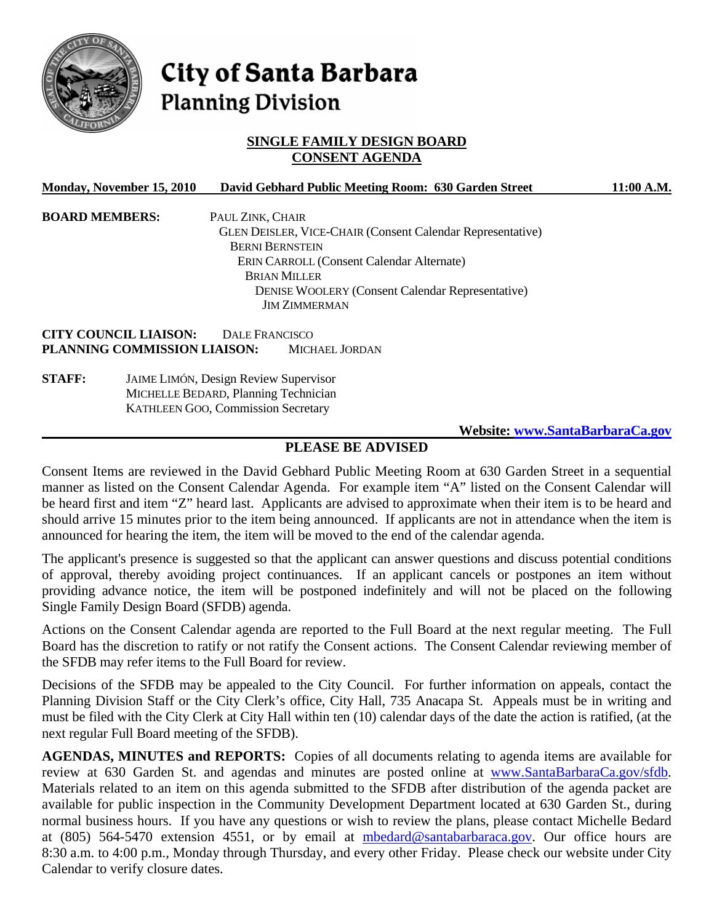

# City of Santa Barbara **Planning Division**

# **SINGLE FAMILY DESIGN BOARD CONSENT AGENDA**

| Monday, November 15, 2010    | David Gebhard Public Meeting Room: 630 Garden Street              | 11:00 A.M. |
|------------------------------|-------------------------------------------------------------------|------------|
| <b>BOARD MEMBERS:</b>        | PAUL ZINK, CHAIR                                                  |            |
|                              | <b>GLEN DEISLER, VICE-CHAIR (Consent Calendar Representative)</b> |            |
|                              | <b>BERNI BERNSTEIN</b>                                            |            |
|                              | ERIN CARROLL (Consent Calendar Alternate)                         |            |
|                              | <b>BRIAN MILLER</b>                                               |            |
|                              | <b>DENISE WOOLERY (Consent Calendar Representative)</b>           |            |
|                              | <b>JIM ZIMMERMAN</b>                                              |            |
| <b>CITY COUNCIL LIAISON:</b> | <b>DALE FRANCISCO</b>                                             |            |
| PLANNING COMMISSION LIAISON: | MICHAEL JORDAN                                                    |            |
| <b>STAFF:</b>                | <b>JAIME LIMÓN, Design Review Supervisor</b>                      |            |
|                              | MICHELLE BEDARD, Planning Technician                              |            |

KATHLEEN GOO, Commission Secretary

 **Website: [www.SantaBarbaraCa.gov](http://www.santabarbaraca.gov/)**

## **PLEASE BE ADVISED**

Consent Items are reviewed in the David Gebhard Public Meeting Room at 630 Garden Street in a sequential manner as listed on the Consent Calendar Agenda. For example item "A" listed on the Consent Calendar will be heard first and item "Z" heard last. Applicants are advised to approximate when their item is to be heard and should arrive 15 minutes prior to the item being announced. If applicants are not in attendance when the item is announced for hearing the item, the item will be moved to the end of the calendar agenda.

The applicant's presence is suggested so that the applicant can answer questions and discuss potential conditions of approval, thereby avoiding project continuances. If an applicant cancels or postpones an item without providing advance notice, the item will be postponed indefinitely and will not be placed on the following Single Family Design Board (SFDB) agenda.

Actions on the Consent Calendar agenda are reported to the Full Board at the next regular meeting. The Full Board has the discretion to ratify or not ratify the Consent actions. The Consent Calendar reviewing member of the SFDB may refer items to the Full Board for review.

Decisions of the SFDB may be appealed to the City Council. For further information on appeals, contact the Planning Division Staff or the City Clerk's office, City Hall, 735 Anacapa St. Appeals must be in writing and must be filed with the City Clerk at City Hall within ten (10) calendar days of the date the action is ratified, (at the next regular Full Board meeting of the SFDB).

**AGENDAS, MINUTES and REPORTS:** Copies of all documents relating to agenda items are available for review at 630 Garden St. and agendas and minutes are posted online at [www.SantaBarbaraCa.gov/sfdb.](http://www.santabarbaraca.gov/sfdb) Materials related to an item on this agenda submitted to the SFDB after distribution of the agenda packet are available for public inspection in the Community Development Department located at 630 Garden St., during normal business hours. If you have any questions or wish to review the plans, please contact Michelle Bedard at (805) 564-5470 extension 4551, or by email at [mbedard@santabarbaraca.gov](mailto:mbedard@santabarbaraca.gov). Our office hours are 8:30 a.m. to 4:00 p.m., Monday through Thursday, and every other Friday. Please check our website under City Calendar to verify closure dates.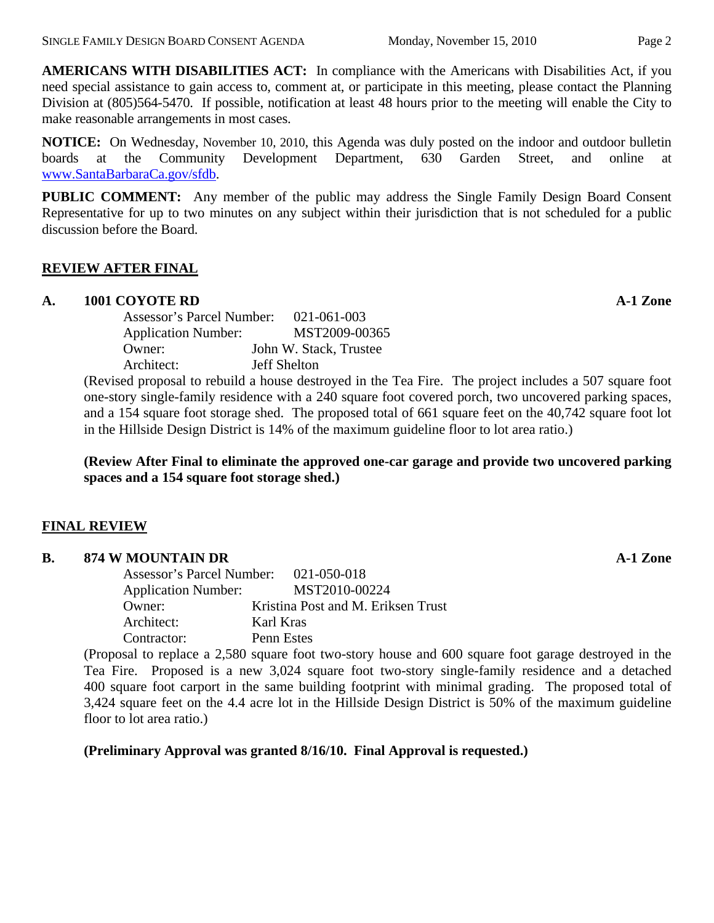**NOTICE:** On Wednesday, November 10, 2010, this Agenda was duly posted on the indoor and outdoor bulletin boards at the Community Development Department, 630 Garden Street, and online at [www.SantaBarbaraCa.gov/sfdb](http://www.santabarbaraca.gov/sfdb).

**PUBLIC COMMENT:** Any member of the public may address the Single Family Design Board Consent Representative for up to two minutes on any subject within their jurisdiction that is not scheduled for a public discussion before the Board.

# **REVIEW AFTER FINAL**

# **A. 1001 COYOTE RD A-1 Zone**

| Assessor's Parcel Number:  | $021 - 061 - 003$      |
|----------------------------|------------------------|
| <b>Application Number:</b> | MST2009-00365          |
| Owner:                     | John W. Stack, Trustee |
| Architect:                 | <b>Jeff Shelton</b>    |

(Revised proposal to rebuild a house destroyed in the Tea Fire. The project includes a 507 square foot one-story single-family residence with a 240 square foot covered porch, two uncovered parking spaces, and a 154 square foot storage shed. The proposed total of 661 square feet on the 40,742 square foot lot in the Hillside Design District is 14% of the maximum guideline floor to lot area ratio.)

# **(Review After Final to eliminate the approved one-car garage and provide two uncovered parking spaces and a 154 square foot storage shed.)**

# **FINAL REVIEW**

## **B.** 874 W MOUNTAIN DR **A-1 Zone**

| Assessor's Parcel Number: 021-050-018 |                                    |
|---------------------------------------|------------------------------------|
| <b>Application Number:</b>            | MST2010-00224                      |
| Owner:                                | Kristina Post and M. Eriksen Trust |
| Architect:                            | Karl Kras                          |
| Contractor:                           | Penn Estes                         |

(Proposal to replace a 2,580 square foot two-story house and 600 square foot garage destroyed in the Tea Fire. Proposed is a new 3,024 square foot two-story single-family residence and a detached 400 square foot carport in the same building footprint with minimal grading. The proposed total of 3,424 square feet on the 4.4 acre lot in the Hillside Design District is 50% of the maximum guideline floor to lot area ratio.)

**(Preliminary Approval was granted 8/16/10. Final Approval is requested.)**